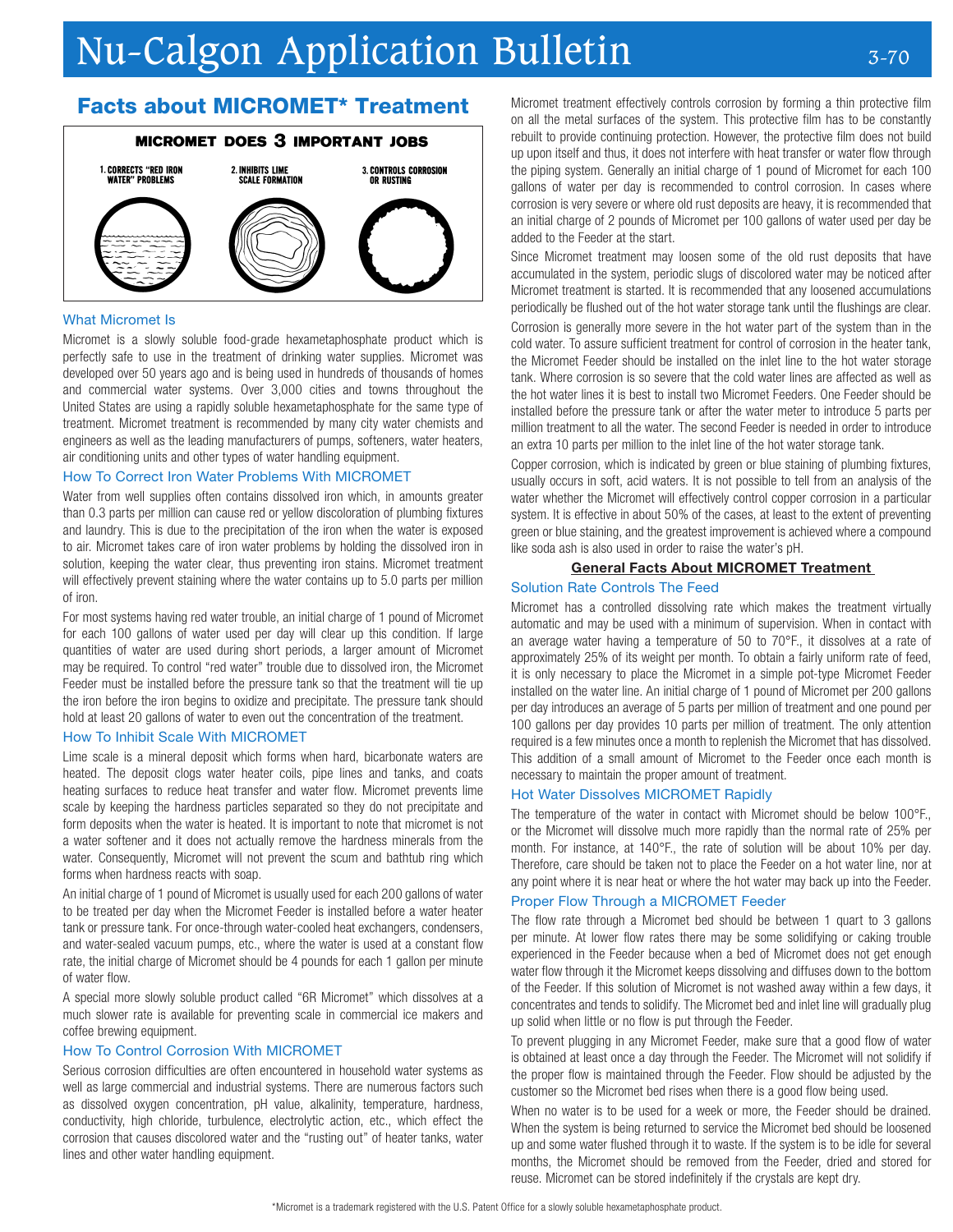# Nu-Calgon Application Bulletin 3-70

# Facts about MICROMET\* Treatment

# **MICROMET DOES 3 IMPORTANT JOBS**



## What Micromet Is

Micromet is a slowly soluble food-grade hexametaphosphate product which is perfectly safe to use in the treatment of drinking water supplies. Micromet was developed over 50 years ago and is being used in hundreds of thousands of homes and commercial water systems. Over 3,000 cities and towns throughout the United States are using a rapidly soluble hexametaphosphate for the same type of treatment. Micromet treatment is recommended by many city water chemists and engineers as well as the leading manufacturers of pumps, softeners, water heaters, air conditioning units and other types of water handling equipment.

## How To Correct Iron Water Problems With MICROMET

Water from well supplies often contains dissolved iron which, in amounts greater than 0.3 parts per million can cause red or yellow discoloration of plumbing fixtures and laundry. This is due to the precipitation of the iron when the water is exposed to air. Micromet takes care of iron water problems by holding the dissolved iron in solution, keeping the water clear, thus preventing iron stains. Micromet treatment will effectively prevent staining where the water contains up to 5.0 parts per million of iron.

For most systems having red water trouble, an initial charge of 1 pound of Micromet for each 100 gallons of water used per day will clear up this condition. If large quantities of water are used during short periods, a larger amount of Micromet may be required. To control "red water" trouble due to dissolved iron, the Micromet Feeder must be installed before the pressure tank so that the treatment will tie up the iron before the iron begins to oxidize and precipitate. The pressure tank should hold at least 20 gallons of water to even out the concentration of the treatment.

# How To Inhibit Scale With MICROMET

Lime scale is a mineral deposit which forms when hard, bicarbonate waters are heated. The deposit clogs water heater coils, pipe lines and tanks, and coats heating surfaces to reduce heat transfer and water flow. Micromet prevents lime scale by keeping the hardness particles separated so they do not precipitate and form deposits when the water is heated. It is important to note that micromet is not a water softener and it does not actually remove the hardness minerals from the water. Consequently, Micromet will not prevent the scum and bathtub ring which forms when hardness reacts with soap.

An initial charge of 1 pound of Micromet is usually used for each 200 gallons of water to be treated per day when the Micromet Feeder is installed before a water heater tank or pressure tank. For once-through water-cooled heat exchangers, condensers, and water-sealed vacuum pumps, etc., where the water is used at a constant flow rate, the initial charge of Micromet should be 4 pounds for each 1 gallon per minute of water flow.

A special more slowly soluble product called "6R Micromet" which dissolves at a much slower rate is available for preventing scale in commercial ice makers and coffee brewing equipment.

#### How To Control Corrosion With MICROMET

Serious corrosion difficulties are often encountered in household water systems as well as large commercial and industrial systems. There are numerous factors such as dissolved oxygen concentration, pH value, alkalinity, temperature, hardness, conductivity, high chloride, turbulence, electrolytic action, etc., which effect the corrosion that causes discolored water and the "rusting out" of heater tanks, water lines and other water handling equipment.

Micromet treatment effectively controls corrosion by forming a thin protective film on all the metal surfaces of the system. This protective film has to be constantly rebuilt to provide continuing protection. However, the protective film does not build up upon itself and thus, it does not interfere with heat transfer or water flow through the piping system. Generally an initial charge of 1 pound of Micromet for each 100 gallons of water per day is recommended to control corrosion. In cases where corrosion is very severe or where old rust deposits are heavy, it is recommended that an initial charge of 2 pounds of Micromet per 100 gallons of water used per day be added to the Feeder at the start.

Since Micromet treatment may loosen some of the old rust deposits that have accumulated in the system, periodic slugs of discolored water may be noticed after Micromet treatment is started. It is recommended that any loosened accumulations periodically be flushed out of the hot water storage tank until the flushings are clear.

Corrosion is generally more severe in the hot water part of the system than in the cold water. To assure sufficient treatment for control of corrosion in the heater tank, the Micromet Feeder should be installed on the inlet line to the hot water storage tank. Where corrosion is so severe that the cold water lines are affected as well as the hot water lines it is best to install two Micromet Feeders. One Feeder should be installed before the pressure tank or after the water meter to introduce 5 parts per million treatment to all the water. The second Feeder is needed in order to introduce an extra 10 parts per million to the inlet line of the hot water storage tank.

Copper corrosion, which is indicated by green or blue staining of plumbing fixtures, usually occurs in soft, acid waters. It is not possible to tell from an analysis of the water whether the Micromet will effectively control copper corrosion in a particular system. It is effective in about 50% of the cases, at least to the extent of preventing green or blue staining, and the greatest improvement is achieved where a compound like soda ash is also used in order to raise the water's pH.

## General Facts About MICROMET Treatment

## Solution Rate Controls The Feed

Micromet has a controlled dissolving rate which makes the treatment virtually automatic and may be used with a minimum of supervision. When in contact with an average water having a temperature of 50 to 70°F., it dissolves at a rate of approximately 25% of its weight per month. To obtain a fairly uniform rate of feed, it is only necessary to place the Micromet in a simple pot-type Micromet Feeder installed on the water line. An initial charge of 1 pound of Micromet per 200 gallons per day introduces an average of 5 parts per million of treatment and one pound per 100 gallons per day provides 10 parts per million of treatment. The only attention required is a few minutes once a month to replenish the Micromet that has dissolved. This addition of a small amount of Micromet to the Feeder once each month is necessary to maintain the proper amount of treatment.

# Hot Water Dissolves MICROMET Rapidly

The temperature of the water in contact with Micromet should be below 100°F., or the Micromet will dissolve much more rapidly than the normal rate of 25% per month. For instance, at 140°F., the rate of solution will be about 10% per day. Therefore, care should be taken not to place the Feeder on a hot water line, nor at any point where it is near heat or where the hot water may back up into the Feeder.

#### Proper Flow Through a MICROMET Feeder

The flow rate through a Micromet bed should be between 1 quart to 3 gallons per minute. At lower flow rates there may be some solidifying or caking trouble experienced in the Feeder because when a bed of Micromet does not get enough water flow through it the Micromet keeps dissolving and diffuses down to the bottom of the Feeder. If this solution of Micromet is not washed away within a few days, it concentrates and tends to solidify. The Micromet bed and inlet line will gradually plug up solid when little or no flow is put through the Feeder.

To prevent plugging in any Micromet Feeder, make sure that a good flow of water is obtained at least once a day through the Feeder. The Micromet will not solidify if the proper flow is maintained through the Feeder. Flow should be adjusted by the customer so the Micromet bed rises when there is a good flow being used.

When no water is to be used for a week or more, the Feeder should be drained. When the system is being returned to service the Micromet bed should be loosened up and some water flushed through it to waste. If the system is to be idle for several months, the Micromet should be removed from the Feeder, dried and stored for reuse. Micromet can be stored indefinitely if the crystals are kept dry.